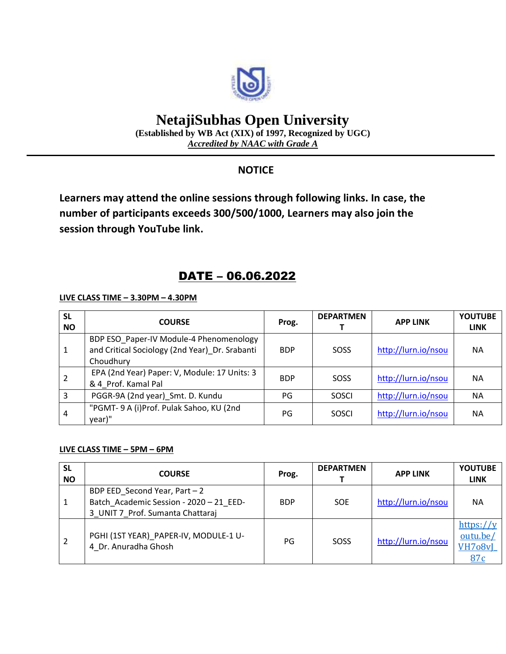

# **NetajiSubhas Open University**

**(Established by WB Act (XIX) of 1997, Recognized by UGC)** *Accredited by NAAC with Grade A*

### **NOTICE**

**Learners may attend the online sessions through following links. In case, the number of participants exceeds 300/500/1000, Learners may also join the session through YouTube link.**

## DATE – 06.06.2022

**LIVE CLASS TIME – 3.30PM – 4.30PM**

| <b>SL</b><br><b>NO</b> | <b>COURSE</b>                                                                                          | Prog.      | <b>DEPARTMEN</b> | <b>APP LINK</b>     | <b>YOUTUBE</b><br><b>LINK</b> |
|------------------------|--------------------------------------------------------------------------------------------------------|------------|------------------|---------------------|-------------------------------|
|                        | BDP ESO Paper-IV Module-4 Phenomenology<br>and Critical Sociology (2nd Year) Dr. Srabanti<br>Choudhury | <b>BDP</b> | SOSS             | http://lurn.io/nsou | <b>NA</b>                     |
|                        | EPA (2nd Year) Paper: V, Module: 17 Units: 3<br>& 4 Prof. Kamal Pal                                    | <b>BDP</b> | SOSS             | http://lurn.io/nsou | <b>NA</b>                     |
| 3                      | PGGR-9A (2nd year)_Smt. D. Kundu                                                                       | PG         | SOSCI            | http://lurn.io/nsou | NА                            |
| 4                      | "PGMT- 9 A (i)Prof. Pulak Sahoo, KU (2nd<br>year)"                                                     | PG         | SOSCI            | http://lurn.io/nsou | <b>NA</b>                     |

#### **LIVE CLASS TIME – 5PM – 6PM**

| <b>SL</b><br><b>NO</b> | <b>COURSE</b>                                                                                                 | Prog.      | <b>DEPARTMEN</b> | <b>APP LINK</b>     | <b>YOUTUBE</b><br><b>LINK</b>                          |
|------------------------|---------------------------------------------------------------------------------------------------------------|------------|------------------|---------------------|--------------------------------------------------------|
|                        | BDP EED Second Year, Part $-2$<br>Batch Academic Session - 2020 - 21 EED-<br>3 UNIT 7 Prof. Sumanta Chattaraj | <b>BDP</b> | <b>SOE</b>       | http://lurn.io/nsou | <b>NA</b>                                              |
|                        | PGHI (1ST YEAR) PAPER-IV, MODULE-1 U-<br>4 Dr. Anuradha Ghosh                                                 | PG         | SOSS             | http://lurn.io/nsou | https:// $y$<br>outu.be/<br>VH7 <sub>08vI</sub><br>87c |